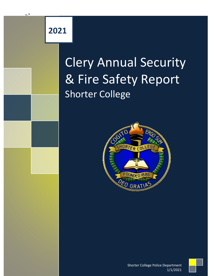## **2021**

 $+$ 

## Clery Annual Security & Fire Safety Report Shorter College





Shorter College Police Department 1/1/2021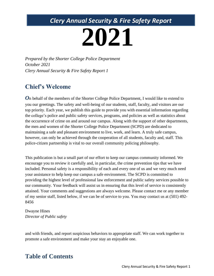## *Clery Annual Security & Fire Safety Report*

# **2021**

*Prepared by the Shorter College Police Department October 2021 Clery Annual Security & Fire Safety Report 1*

### **Chief's Welcome**

*O*n behalf of the members of the Shorter College Police Department, I would like to extend to you our greetings. The safety and well-being of our students, staff, faculty, and visitors are our top priority. Each year, we publish this guide to provide you with essential information regarding the college's police and public safety services, programs, and policies as well as statistics about the occurrence of crime on and around our campus. Along with the support of other departments, the men and women of the Shorter College Police Department (SCPD) are dedicated to maintaining a safe and pleasant environment to live, work, and learn. A truly safe campus, however, can only be achieved through the cooperation of all students, faculty and, staff. This police-citizen partnership is vital to our overall community policing philosophy.

This publication is but a small part of our effort to keep our campus community informed. We encourage you to review it carefully and, in particular, the crime prevention tips that we have included. Personal safety is a responsibility of each and every one of us and we very much need your assistance to help keep our campus a safe environment. The SCPD is committed to providing the highest level of professional law enforcement and public safety services possible to our community. Your feedback will assist us in ensuring that this level of service is consistently attained. Your comments and suggestions are always welcome. Please contact me or any member of my senior staff, listed below, if we can be of service to you. You may contact us at (501) 492- 8456

Dwayne Hines *Director of Public safety*

and with friends, and report suspicious behaviors to appropriate staff. We can work together to promote a safe environment and make your stay an enjoyable one.

#### **Table of Contents**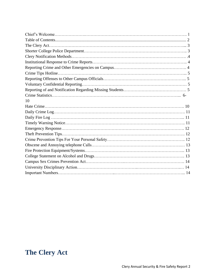| 10 |
|----|
|    |
|    |
|    |
|    |
|    |
|    |
|    |
|    |
|    |
|    |
|    |
|    |
|    |

## **The Clery Act**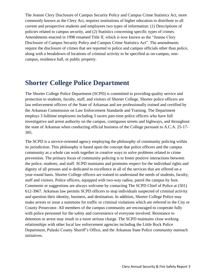The Jeanne Clery Disclosure of Campus Security Policy and Campus Crime Statistics Act, more commonly known as the Clery Act, requires institutions of higher education to distribute to all current and prospective students and employees two types of information: (1) Descriptions of policies related to campus security, and (2) Statistics concerning specific types of crimes. Amendments enacted in 1998 renamed Title II, which is now known as the "Jeanne Clery Disclosure of Campus Security Policy and Campus Crime Statistics Act". The amendments require the disclosure of crimes that are reported to police and campus officials other than police, along with a breakdown of locations of criminal activity to be specified as on-campus, noncampus, residence hall, or public property.

## **Shorter College Police Department**

The Shorter College Police Department (SCPD) is committed to providing quality service and protection to students, faculty, staff, and visitors of Shorter College. Shorter police officers are law enforcement officers of the State of Arkansas and are professionally trained and certified by the Arkansas Commission on Law Enforcement Standards and Training. The Department employs 3 fulltime employees including 3 sworn part-time police officers who have full investigative and arrest authority on the campus, contiguous streets and highways, and throughout the state of Arkansas when conducting official business of the College pursuant to A.C.A. 25-17- 305.

The SCPD is a service-oriented agency employing the philosophy of community policing within its jurisdiction. This philosophy is based upon the concept that police officers and the campus community as a whole can work together in creative ways to solve problems related to crime prevention. The primary focus of community policing is to foster positive interactions between the police, students, and staff. SCPD maintains and promotes respect for the individual rights and dignity of all persons and is dedicated to excellence in all of the services that are offered on a year-round basis. Shorter College officers are trained to understand the needs of students, faculty, staff and visitors. Police officers, equipped with two-way radios, patrol the campus by foot. Comments or suggestions are always welcome by contacting The SCPD Chief of Police at (501) 612-3967. Arkansas law permits SCPD officers to stop individuals suspected of criminal activity and question their identity, business, and destination. In addition, Shorter College Police may make arrests or issue a summons for traffic or criminal violations which are referred to the City or County Prosecutor. All members of the campus community are encouraged to cooperate fully with police personnel for the safety and convenience of everyone involved. Resistance to detention or arrest may result in a more serious charge. The SCPD maintains close working relationships with other local law enforcement agencies including the Little Rock Police Department, Pulaski County Sheriff's Office, and the Arkansas State Police community outreach initiatives.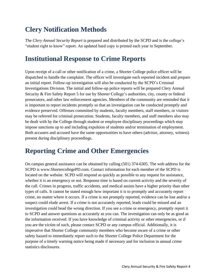## **Clery Notification Methods**

The *Clery Annual Security Report* is prepared and distributed by the SCPD and is the college's "student right to know" report. An updated hard copy is printed each year in September.

## **Institutional Response to Crime Reports**

Upon receipt of a call or other notification of a crime, a Shorter College police officer will be dispatched to handle the complaint. The officer will investigate each reported incident and prepare an initial report. Follow-up investigation will also be conducted by the SCPD's Criminal Investigations Division. The initial and follow-up police reports will be prepared Clery Annual Security & Fire Safety Report 5 for use by Shorter College's authorities, city, county or federal prosecutors, and other law enforcement agencies. Members of the community are reminded that it is important to report incidents promptly so that an investigation can be conducted promptly and evidence preserved. Offenses committed by students, faculty members, staff members, or visitors may be referred for criminal prosecution. Students, faculty members, and staff members also may be dealt with by the College through student or employee disciplinary proceedings which may impose sanctions up to and including expulsion of students and/or termination of employment. Both accusers and accused have the same opportunities to have others (advisor, attorney, witness) present during disciplinary proceedings.

## **Reporting Crime and Other Emergencies**

On campus general assistance can be obtained by calling (501) 374-6305. The web address for the SCPD is www.ShortercollegePD.com. Contact information for each member of the SCPD is located on the website. SCPD will respond as quickly as possible to any request for assistance, whether it is an emergency or not. Response time is based on current activity and the severity of the call. Crimes in progress, traffic accidents, and medical assists have a higher priority than other types of calls. It cannot be stated enough how important it is to promptly and accurately report crime, no matter where it occurs. If a crime is not promptly reported, evidence can be lost and/or a suspect could elude arrest. If a crime is not accurately reported, leads could be missed and an investigation could head the wrong direction. If you see a crime or emergency, promptly report it to SCPD and answer questions as accurately as you can. The investigation can only be as good as the information received. If you have knowledge of criminal activity or other emergencies, or if you are the victim of such, please contact SCPD or any campus official. Additionally, it is imperative that Shorter College community members who become aware of a crime or other safety hazard to immediately report such to the Shorter College Police Department for the purpose of a timely warning notice being made if necessary and for inclusion in annual crime statistics disclosures.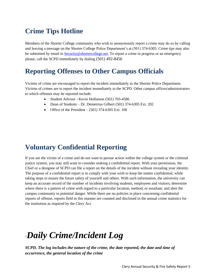## **Crime Tips Hotline**

Members of the Shorter College community who wish to anonymously report a crime may do so by calling and leaving a message on the Shorter College Police Department's at (501) 374-6305. Crime tips may also be submitted by email to **Security@shortercollege.net**. To report a crime in progress or an emergency please, call the SCPD immediately by dialing (501) 492-8456

## **Reporting Offenses to Other Campus Officials**

Victims of crime are encouraged to report the incident immediately to the Shorter Police Department. Victims of crimes are to report the incident immediately to the SCPD. Other campus offices/administrators to which offenses may be reported include:

- Student Advisor Kevin Hollamon (501) 703-4586
- Dean of Students Dr. Demetrius Gilbert (501) 374-6305 Ext. 202
- Office of the President  $(501)$  374-6305 Ext. 100

## **Voluntary Confidential Reporting**

If you are the victim of a crime and do not want to pursue action within the college system or the criminal justice system, you may still want to consider making a confidential report. With your permission, the Chief or a designee of SCPD can file a report on the details of the incident without revealing your identity. The purpose of a confidential report is to comply with your wish to keep the matter confidential, while taking steps to ensure the future safety of yourself and others. With such information, the university can keep an accurate record of the number of incidents involving students, employees and visitors; determine where there is a pattern of crime with regard to a particular location, method, or assailant; and alert the campus community to potential danger. While there are no policies in place concerning confidential reports of offense, reports field in this manner are counted and disclosed in the annual crime statistics for the institution as required by the Clery Act.

## "*Daily Crime/Incident Log*

*SCPD. The log includes the nature of the crime, the date reported, the date and time of occurrence, the general location of the crime*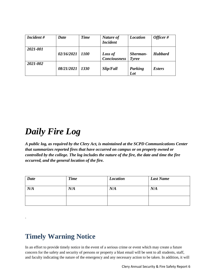| Incident# | <b>Date</b> | <b>Time</b>  | Nature of<br><b>Incident</b>   | <b>Location</b>          | Officer#             |
|-----------|-------------|--------------|--------------------------------|--------------------------|----------------------|
| 2021-001  | 02/16/2021  | $\vert$ 1100 | Loss of<br><b>Conciousness</b> | Sherman-<br><b>Tyree</b> | <b>Hubbard</b>       |
| 2021-002  | 08/21/2021  | 1330         | Slip/Fall                      | Parking<br>Lot           | <i><b>Esters</b></i> |

## *Daily Fire Log*

*A public log, as required by the Clery Act, is maintained at the SCPD Communications Center that summarizes reported fires that have occurred on campus or on property owned or controlled by the college. The log includes the nature of the fire, the date and time the fire occurred, and the general location of the fire.*

| <b>Date</b> | <b>Time</b> | <b>Location</b> | <b>Last Name</b> |
|-------------|-------------|-----------------|------------------|
| N/A         | N/A         | N/A             | N/A              |
|             |             |                 |                  |

## **Timely Warning Notice**

.

In an effort to provide timely notice in the event of a serious crime or event which may create a future concern for the safety and security of persons or property a blast email will be sent to all students, staff, and faculty indicating the nature of the emergency and any necessary action to be taken. In addition, it will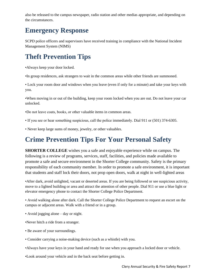also be released to the campus newspaper, radio station and other medias appropriate, and depending on the circumstances.

## **Emergency Response**

SCPD police officers and supervisors have received training in compliance with the National Incident Management System (NIMS)

## **Theft Prevention Tips**

•Always keep your door locked.

•In group residences, ask strangers to wait in the common areas while other friends are summoned.

• Lock your room door and windows when you leave (even if only for a minute) and take your keys with you.

•When moving in or out of the building, keep your room locked when you are out. Do not leave your car unlocked.

•Do not leave coats, books, or other valuable items in common areas.

• If you see or hear something suspicious, call the police immediately. Dial 911 or (501) 374-6305.

• Never keep large sums of money, jewelry, or other valuables.

## **Crime Prevention Tips For Your Personal Safety**

**SHORTER COLLEGE** wishes you a safe and enjoyable experience while on campus. The following is a review of programs, services, staff, facilities, and policies made available to promote a safe and secure environment in the Shorter College community. Safety is the primary responsibility of each community member. In order to promote a safe environment, it is important that students and staff lock their doors, not prop open doors, walk at night in well-lighted areas

•After dark, avoid unlighted, vacant or deserted areas. If you are being followed or see suspicious activity, move to a lighted building or area and attract the attention of other people. Dial 911 or use a blue light or elevator emergency phone to contact the Shorter College Police Department.

• Avoid walking alone after dark. Call the Shorter College Police Department to request an escort on the campus or adjacent areas. Walk with a friend or in a group.

• Avoid jogging alone – day or night.

•Never hitch a ride from a stranger.

- Be aware of your surroundings.
- Consider carrying a noise-making device (such as a whistle) with you.
- •Always have your keys in your hand and ready for use when you approach a locked door or vehicle.
- •Look around your vehicle and in the back seat before getting in.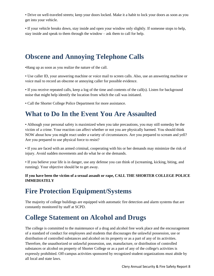• Drive on well-traveled streets; keep your doors locked. Make it a habit to lock your doors as soon as you get into your vehicle.

• If your vehicle breaks down, stay inside and open your window only slightly. If someone stops to help, stay inside and speak to them through the window – ask them to call for help.

## **Obscene and Annoying Telephone Calls**

•Hang up as soon as you realize the nature of the call.

• Use caller ID, your answering machine or voice mail to screen calls. Also, use an answering machine or voice mail to record an obscene or annoying caller for possible evidence.

• If you receive repeated calls, keep a log of the time and contents of the call(s). Listen for background noise that might help identify the location from which the call was initiated.

• Call the Shorter College Police Department for more assistance.

## **What to Do In the Event You Are Assaulted**

• Although your personal safety is maximized when you take precautions, you may still someday be the victim of a crime. Your reaction can affect whether or not you are physically harmed. You should think NOW about how you might react under a variety of circumstances. Are you prepared to scream and yell? Are you prepared to use physical force to resist?

• If you are faced with an armed criminal, cooperating with his or her demands may minimize the risk of injury. Avoid sudden movements and do what he or she demands.

• If you believe your life is in danger, use any defense you can think of (screaming, kicking, biting, and running). Your objective should be to get away.

#### **If you have been the victim of a sexual assault or rape, CALL THE SHORTER COLLEGE POLICE IMMEDIATELY**

## **Fire Protection Equipment/Systems**

The majority of college buildings are equipped with automatic fire detection and alarm systems that are constantly monitored by staff at SCPD.

## **College Statement on Alcohol and Drugs**

The college is committed to the maintenance of a drug and alcohol free work place and the encouragement of a standard of conduct for employees and students that discourages the unlawful possession, use or distribution of controlled substances and alcohol on its property or as a part of any of its activities. Therefore, the unauthorized or unlawful possession, use, manufacture, or distribution of controlled substances or alcohol on property of Shorter College or as a part of any of the college's activities is expressly prohibited. Off-campus activities sponsored by recognized student organizations must abide by all local and state laws.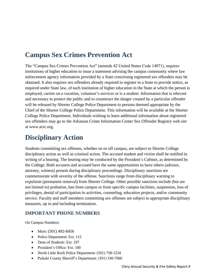## **Campus Sex Crimes Prevention Act**

The "Campus Sex Crimes Prevention Act" (amends 42 United States Code 14071), requires institutions of higher education to issue a statement advising the campus community where law enforcement agency information provided by a State concerning registered sex offenders may be obtained. It also requires sex offenders already required to register in a State to provide notice, as required under State law, of each institution of higher education in the State at which the person is employed, carries on a vocation, volunteer's services or is a student. Information that is relevant and necessary to protect the public and to counteract the danger created by a particular offender will be released by Shorter College Police Department to persons deemed appropriate by the Chief of the Shorter College Police Department. This information will be available at the Shorter College Police Department. Individuals wishing to learn additional information about registered sex offenders may go to the Arkansas Crime Information Center Sex Offender Registry web site at www.acic.org.

## **Disciplinary Action**

Students committing sex offenses, whether on or off campus, are subject to Shorter College disciplinary action as well as criminal action. The accused student and victim shall be notified in writing of a hearing. The hearing may be conducted by the President's Cabinet, as determined by the College. Both accusers and accused have the same opportunities to have others (advisor, attorney, witness) present during disciplinary proceedings. Disciplinary sanctions are commensurate with severity of the offense. Sanctions range from disciplinary warning to expulsion (permanent removal) from Shorter College. Other possible sanctions include (but are not limited to) probation, ban from campus or from specific campus facilities, suspension, loss of privileges, denial of participation in activities, counseling, education projects, and/or community service. Faculty and staff members committing sex offenses are subject to appropriate disciplinary measures, up to and including termination.

#### **IMPORTANT PHONE NUMBERS**

On Campus Numbers:

- Main: (501) 492-8456
- Police Department: Ext. 115
- Dean of Students: Ext. 107
- President's Office: Ext. 100
- North Little Rock Police Department: (501) 758-1234
- Pulaski County Sherriff's Department: (501) 340-7060